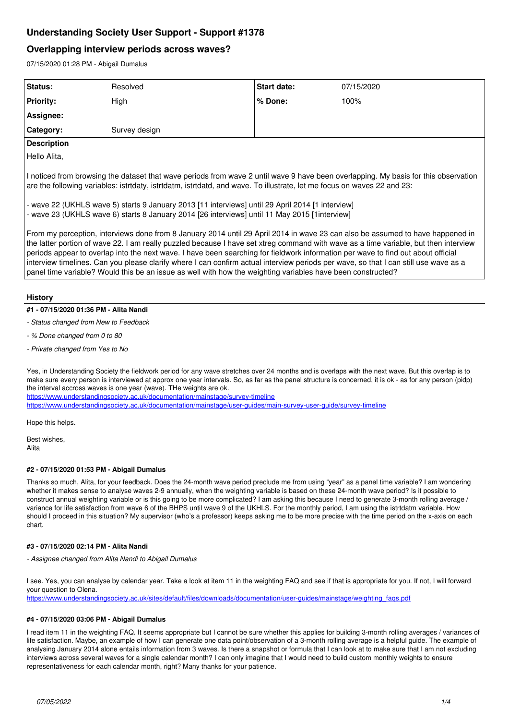# **Understanding Society User Support - Support #1378**

# **Overlapping interview periods across waves?**

07/15/2020 01:28 PM - Abigail Dumalus

| Status:                                                                                                                                                                                                                                                                                                                                                                                                                                                                                                                                                                                                                                                            | Resolved      | Start date: | 07/15/2020 |
|--------------------------------------------------------------------------------------------------------------------------------------------------------------------------------------------------------------------------------------------------------------------------------------------------------------------------------------------------------------------------------------------------------------------------------------------------------------------------------------------------------------------------------------------------------------------------------------------------------------------------------------------------------------------|---------------|-------------|------------|
| <b>Priority:</b>                                                                                                                                                                                                                                                                                                                                                                                                                                                                                                                                                                                                                                                   | High          | $%$ Done:   | 100%       |
| Assignee:                                                                                                                                                                                                                                                                                                                                                                                                                                                                                                                                                                                                                                                          |               |             |            |
| Category:                                                                                                                                                                                                                                                                                                                                                                                                                                                                                                                                                                                                                                                          | Survey design |             |            |
| <b>Description</b>                                                                                                                                                                                                                                                                                                                                                                                                                                                                                                                                                                                                                                                 |               |             |            |
| Hello Alita,                                                                                                                                                                                                                                                                                                                                                                                                                                                                                                                                                                                                                                                       |               |             |            |
| I noticed from browsing the dataset that wave periods from wave 2 until wave 9 have been overlapping. My basis for this observation<br>are the following variables: istrtdaty, istrtdatm, istrtdatd, and wave. To illustrate, let me focus on waves 22 and 23:<br>- wave 22 (UKHLS wave 5) starts 9 January 2013 [11 interviews] until 29 April 2014 [1 interview]<br>- wave 23 (UKHLS wave 6) starts 8 January 2014 [26 interviews] until 11 May 2015 [1 interview]                                                                                                                                                                                               |               |             |            |
| From my perception, interviews done from 8 January 2014 until 29 April 2014 in wave 23 can also be assumed to have happened in<br>the latter portion of wave 22. I am really puzzled because I have set xtreg command with wave as a time variable, but then interview<br>periods appear to overlap into the next wave. I have been searching for fieldwork information per wave to find out about official<br>interview timelines. Can you please clarify where I can confirm actual interview periods per wave, so that I can still use wave as a<br>panel time variable? Would this be an issue as well with how the weighting variables have been constructed? |               |             |            |

## **History**

## **#1 - 07/15/2020 01:36 PM - Alita Nandi**

- *Status changed from New to Feedback*
- *% Done changed from 0 to 80*
- *Private changed from Yes to No*

Yes, in Understanding Society the fieldwork period for any wave stretches over 24 months and is overlaps with the next wave. But this overlap is to make sure every person is interviewed at approx one year intervals. So, as far as the panel structure is concerned, it is ok - as for any person (pidp) the interval accross waves is one year (wave). THe weights are ok.

<https://www.understandingsociety.ac.uk/documentation/mainstage/survey-timeline>

<https://www.understandingsociety.ac.uk/documentation/mainstage/user-guides/main-survey-user-guide/survey-timeline>

Hope this helps.

Best wishes, Alita

#### **#2 - 07/15/2020 01:53 PM - Abigail Dumalus**

Thanks so much, Alita, for your feedback. Does the 24-month wave period preclude me from using "year" as a panel time variable? I am wondering whether it makes sense to analyse waves 2-9 annually, when the weighting variable is based on these 24-month wave period? Is it possible to construct annual weighting variable or is this going to be more complicated? I am asking this because I need to generate 3-month rolling average / variance for life satisfaction from wave 6 of the BHPS until wave 9 of the UKHLS. For the monthly period, I am using the istrtdatm variable. How should I proceed in this situation? My supervisor (who's a professor) keeps asking me to be more precise with the time period on the x-axis on each chart.

#### **#3 - 07/15/2020 02:14 PM - Alita Nandi**

*- Assignee changed from Alita Nandi to Abigail Dumalus*

I see. Yes, you can analyse by calendar year. Take a look at item 11 in the weighting FAQ and see if that is appropriate for you. If not, I will forward your question to Olena.

https://www.understandingsociety.ac.uk/sites/default/files/downloads/documentation/user-guides/mainstage/weighting\_fags.pdf

#### **#4 - 07/15/2020 03:06 PM - Abigail Dumalus**

I read item 11 in the weighting FAQ. It seems appropriate but I cannot be sure whether this applies for building 3-month rolling averages / variances of life satisfaction. Maybe, an example of how I can generate one data point/observation of a 3-month rolling average is a helpful guide. The example of analysing January 2014 alone entails information from 3 waves. Is there a snapshot or formula that I can look at to make sure that I am not excluding interviews across several waves for a single calendar month? I can only imagine that I would need to build custom monthly weights to ensure representativeness for each calendar month, right? Many thanks for your patience.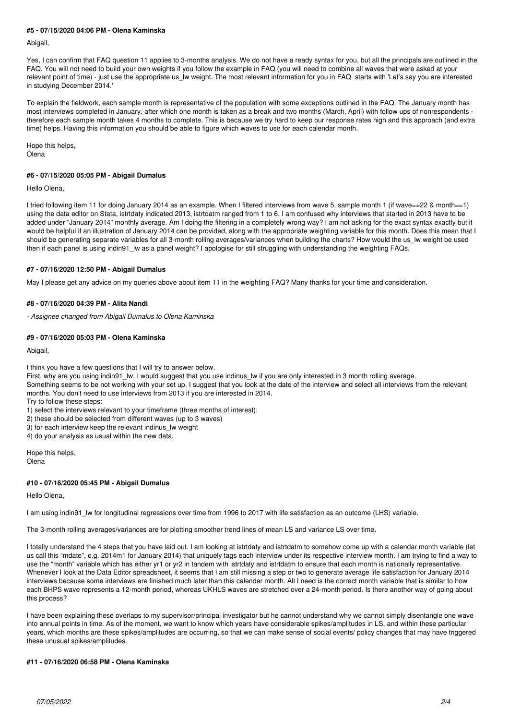## **#5 - 07/15/2020 04:06 PM - Olena Kaminska**

Abigail,

Yes, I can confirm that FAQ question 11 applies to 3-months analysis. We do not have a ready syntax for you, but all the principals are outlined in the FAQ. You will not need to build your own weights if you follow the example in FAQ (you will need to combine all waves that were asked at your relevant point of time) - just use the appropriate us lw weight. The most relevant information for you in FAQ starts with 'Let's say you are interested in studying December 2014.'

To explain the fieldwork, each sample month is representative of the population with some exceptions outlined in the FAQ. The January month has most interviews completed in January, after which one month is taken as a break and two months (March, April) with follow ups of nonrespondents therefore each sample month takes 4 months to complete. This is because we try hard to keep our response rates high and this approach (and extra time) helps. Having this information you should be able to figure which waves to use for each calendar month.

Hope this helps, Olena

## **#6 - 07/15/2020 05:05 PM - Abigail Dumalus**

Hello Olena,

I tried following item 11 for doing January 2014 as an example. When I filtered interviews from wave 5, sample month 1 (if wave==22 & month==1) using the data editor on Stata, istrtdaty indicated 2013, istrtdatm ranged from 1 to 6. I am confused why interviews that started in 2013 have to be added under "January 2014" monthly average. Am I doing the filtering in a completely wrong way? I am not asking for the exact syntax exactly but it would be helpful if an illustration of January 2014 can be provided, along with the appropriate weighting variable for this month. Does this mean that I should be generating separate variables for all 3-month rolling averages/variances when building the charts? How would the us\_lw weight be used then if each panel is using indin91\_lw as a panel weight? I apologise for still struggling with understanding the weighting FAQs.

## **#7 - 07/16/2020 12:50 PM - Abigail Dumalus**

May I please get any advice on my queries above about item 11 in the weighting FAQ? Many thanks for your time and consideration.

## **#8 - 07/16/2020 04:39 PM - Alita Nandi**

*- Assignee changed from Abigail Dumalus to Olena Kaminska*

## **#9 - 07/16/2020 05:03 PM - Olena Kaminska**

Abigail,

I think you have a few questions that I will try to answer below.

First, why are you using indin91 lw. I would suggest that you use indinus lw if you are only interested in 3 month rolling average.

Something seems to be not working with your set up. I suggest that you look at the date of the interview and select all interviews from the relevant months. You don't need to use interviews from 2013 if you are interested in 2014.

Try to follow these steps:

1) select the interviews relevant to your timeframe (three months of interest);

2) these should be selected from different waves (up to 3 waves)

3) for each interview keep the relevant indinus lw weight

4) do your analysis as usual within the new data.

Hope this helps, Olena

### **#10 - 07/16/2020 05:45 PM - Abigail Dumalus**

#### Hello Olena,

I am using indin91\_lw for longitudinal regressions over time from 1996 to 2017 with life satisfaction as an outcome (LHS) variable.

The 3-month rolling averages/variances are for plotting smoother trend lines of mean LS and variance LS over time.

I totally understand the 4 steps that you have laid out. I am looking at istrtdaty and istrtdatm to somehow come up with a calendar month variable (let us call this "mdate", e.g. 2014m1 for January 2014) that uniquely tags each interview under its respective interview month. I am trying to find a way to use the "month" variable which has either yr1 or yr2 in tandem with istrtdaty and istrtdatm to ensure that each month is nationally representative. Whenever I look at the Data Editor spreadsheet, it seems that I am still missing a step or two to generate average life satisfaction for January 2014 interviews because some interviews are finished much later than this calendar month. All I need is the correct month variable that is similar to how each BHPS wave represents a 12-month period, whereas UKHLS waves are stretched over a 24-month period. Is there another way of going about this process?

I have been explaining these overlaps to my supervisor/principal investigator but he cannot understand why we cannot simply disentangle one wave into annual points in time. As of the moment, we want to know which years have considerable spikes/amplitudes in LS, and within these particular years, which months are these spikes/amplitudes are occurring, so that we can make sense of social events/ policy changes that may have triggered these unusual spikes/amplitudes.

#### **#11 - 07/16/2020 06:58 PM - Olena Kaminska**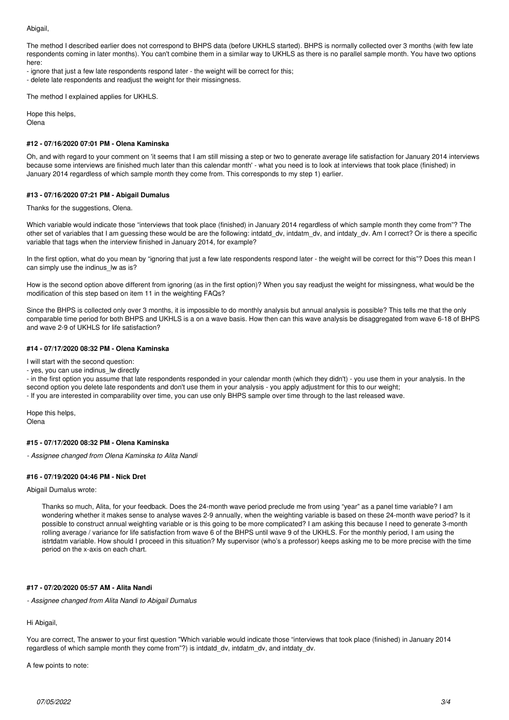#### Abigail,

The method I described earlier does not correspond to BHPS data (before UKHLS started). BHPS is normally collected over 3 months (with few late respondents coming in later months). You can't combine them in a similar way to UKHLS as there is no parallel sample month. You have two options here:

- ignore that just a few late respondents respond later - the weight will be correct for this;

- delete late respondents and readjust the weight for their missingness.

The method I explained applies for UKHLS.

Hope this helps,

Olena

## **#12 - 07/16/2020 07:01 PM - Olena Kaminska**

Oh, and with regard to your comment on 'it seems that I am still missing a step or two to generate average life satisfaction for January 2014 interviews because some interviews are finished much later than this calendar month' - what you need is to look at interviews that took place (finished) in January 2014 regardless of which sample month they come from. This corresponds to my step 1) earlier.

## **#13 - 07/16/2020 07:21 PM - Abigail Dumalus**

Thanks for the suggestions, Olena.

Which variable would indicate those "interviews that took place (finished) in January 2014 regardless of which sample month they come from"? The other set of variables that I am guessing these would be are the following: intdatd\_dv, intdatm\_dv, and intdaty\_dv. Am I correct? Or is there a specific variable that tags when the interview finished in January 2014, for example?

In the first option, what do you mean by "ignoring that just a few late respondents respond later - the weight will be correct for this"? Does this mean I can simply use the indinus Iw as is?

How is the second option above different from ignoring (as in the first option)? When you say readjust the weight for missingness, what would be the modification of this step based on item 11 in the weighting FAQs?

Since the BHPS is collected only over 3 months, it is impossible to do monthly analysis but annual analysis is possible? This tells me that the only comparable time period for both BHPS and UKHLS is a on a wave basis. How then can this wave analysis be disaggregated from wave 6-18 of BHPS and wave 2-9 of UKHLS for life satisfaction?

### **#14 - 07/17/2020 08:32 PM - Olena Kaminska**

I will start with the second question:

- yes, you can use indinus\_lw directly

- in the first option you assume that late respondents responded in your calendar month (which they didn't) - you use them in your analysis. In the second option you delete late respondents and don't use them in your analysis - you apply adjustment for this to our weight;

- If you are interested in comparability over time, you can use only BHPS sample over time through to the last released wave.

Hope this helps, Olena

#### **#15 - 07/17/2020 08:32 PM - Olena Kaminska**

*- Assignee changed from Olena Kaminska to Alita Nandi*

#### **#16 - 07/19/2020 04:46 PM - Nick Dret**

Abigail Dumalus wrote:

Thanks so much, Alita, for your feedback. Does the 24-month wave period preclude me from using "year" as a panel time variable? I am wondering whether it makes sense to analyse waves 2-9 annually, when the weighting variable is based on these 24-month wave period? Is it possible to construct annual weighting variable or is this going to be more complicated? I am asking this because I need to generate 3-month rolling average / variance for life satisfaction from wave 6 of the BHPS until wave 9 of the UKHLS. For the monthly period, I am using the istrtdatm variable. How should I proceed in this situation? My supervisor (who's a professor) keeps asking me to be more precise with the time period on the x-axis on each chart.

## **#17 - 07/20/2020 05:57 AM - Alita Nandi**

*- Assignee changed from Alita Nandi to Abigail Dumalus*

## Hi Abigail,

You are correct, The answer to your first question "Which variable would indicate those "interviews that took place (finished) in January 2014 regardless of which sample month they come from"?) is intdatd\_dv, intdatm\_dv, and intdaty\_dv.

A few points to note: